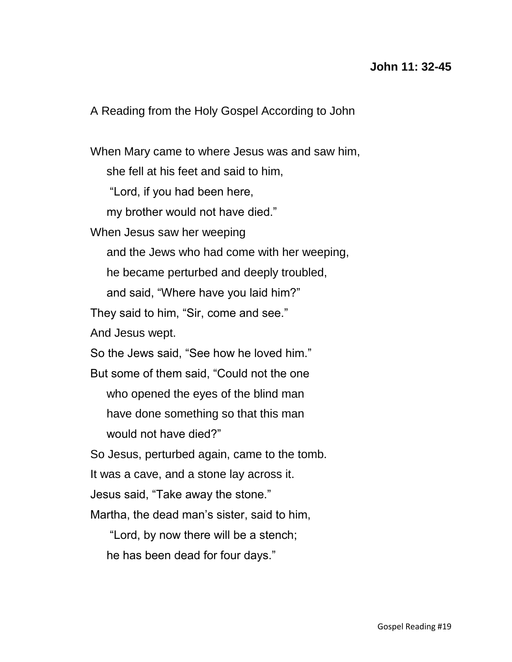## **John 11: 32-45**

A Reading from the Holy Gospel According to John

When Mary came to where Jesus was and saw him, she fell at his feet and said to him, "Lord, if you had been here, my brother would not have died." When Jesus saw her weeping and the Jews who had come with her weeping, he became perturbed and deeply troubled, and said, "Where have you laid him?" They said to him, "Sir, come and see." And Jesus wept. So the Jews said, "See how he loved him." But some of them said, "Could not the one who opened the eyes of the blind man have done something so that this man would not have died?" So Jesus, perturbed again, came to the tomb. It was a cave, and a stone lay across it. Jesus said, "Take away the stone." Martha, the dead man's sister, said to him,

 "Lord, by now there will be a stench; he has been dead for four days."